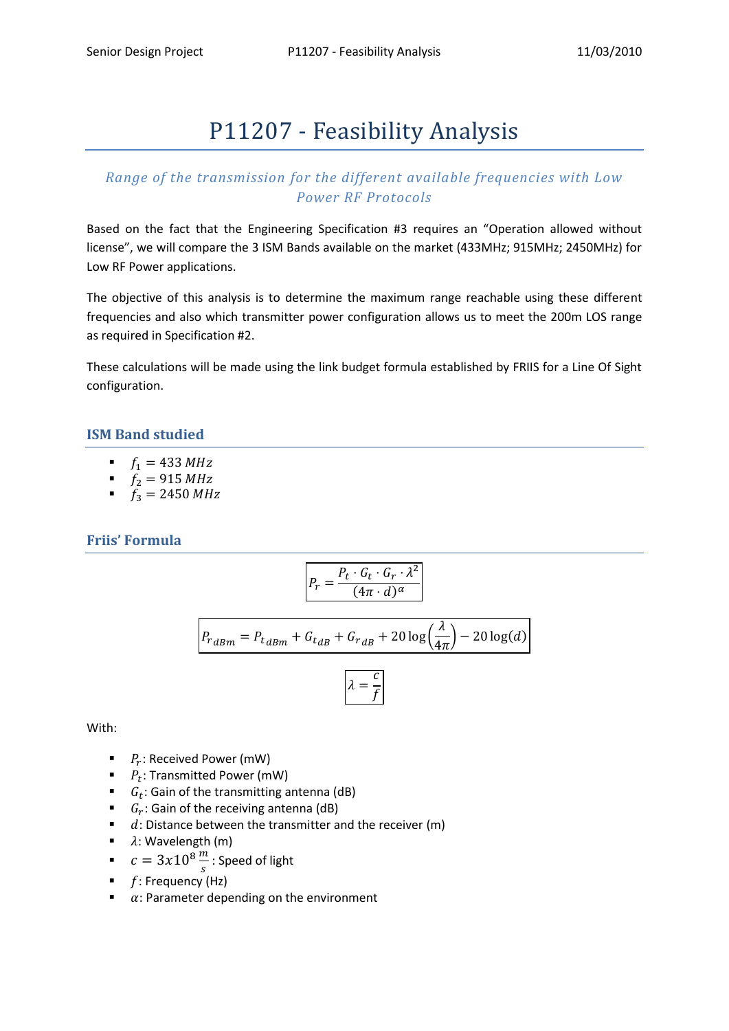# P11207 - Feasibility Analysis

# *Range of the transmission for the different available frequencies with Low Power RF Protocols*

Based on the fact that the Engineering Specification #3 requires an "Operation allowed without license", we will compare the 3 ISM Bands available on the market (433MHz; 915MHz; 2450MHz) for Low RF Power applications.

The objective of this analysis is to determine the maximum range reachable using these different frequencies and also which transmitter power configuration allows us to meet the 200m LOS range as required in Specification #2.

These calculations will be made using the link budget formula established by FRIIS for a Line Of Sight configuration.

## **ISM Band studied**

- $f_1 = 433 \, MHz$
- $f_2 = 915 \, MHz$
- $f_3 = 2450 \, MHz$

## **Friis' Formula**

$$
P_r = \frac{P_t \cdot G_t \cdot G_r \cdot \lambda^2}{(4\pi \cdot d)^\alpha}
$$

$$
P_{rdBm} = P_{t_{dBm}} + G_{t_{dB}} + G_{rdB} + 20\log\left(\frac{\lambda}{4\pi}\right) - 20\log(d)
$$

$$
\lambda = \frac{c}{f}
$$

With:

- $\blacksquare$   $P_r$ : Received Power (mW)
- $\blacksquare$   $P_t$ : Transmitted Power (mW)
- $\bullet$   $G_t$ : Gain of the transmitting antenna (dB)
- $\bullet$   $G_r$ : Gain of the receiving antenna (dB)
- $\blacksquare$  d: Distance between the transmitter and the receiver (m)
- $\blacksquare$   $\lambda$ : Wavelength (m)
- $c = 3x10^8 \frac{m}{s}$ : Speed of light
- $\blacksquare$  f: Frequency (Hz)
- $\alpha$ : Parameter depending on the environment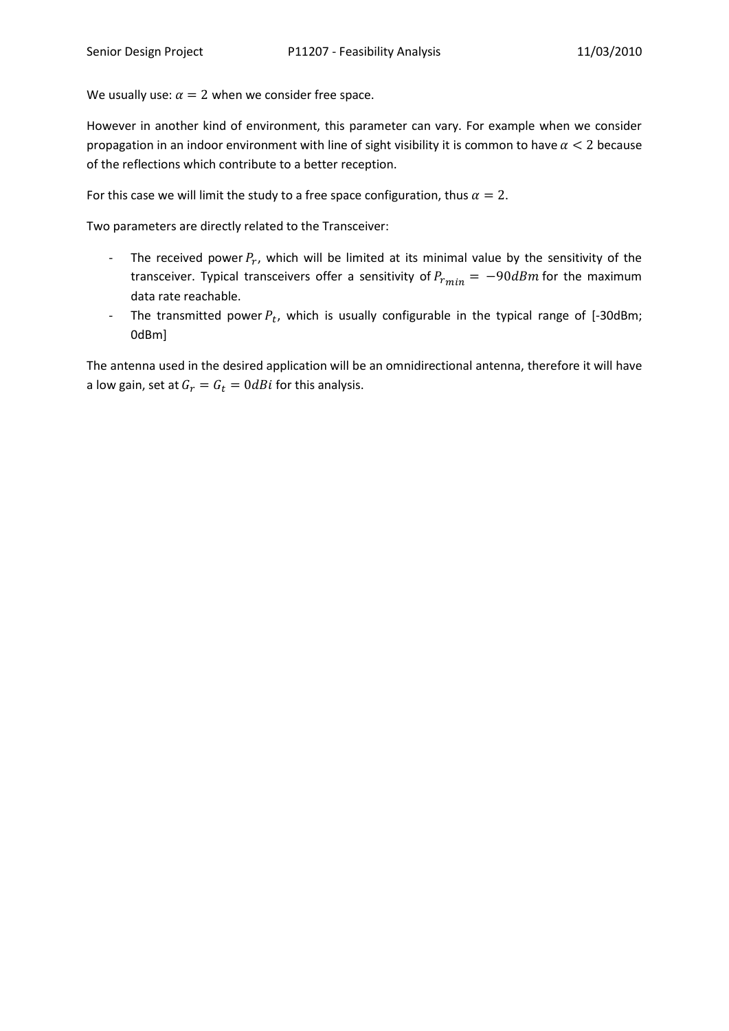We usually use:  $\alpha = 2$  when we consider free space.

However in another kind of environment, this parameter can vary. For example when we consider propagation in an indoor environment with line of sight visibility it is common to have  $\alpha < 2$  because of the reflections which contribute to a better reception.

For this case we will limit the study to a free space configuration, thus  $\alpha = 2$ .

Two parameters are directly related to the Transceiver:

- The received power  $P_r$ , which will be limited at its minimal value by the sensitivity of the transceiver. Typical transceivers offer a sensitivity of  $P_{rmin} = -90dBm$  for the maximum data rate reachable.
- The transmitted power  $P_t$ , which is usually configurable in the typical range of [-30dBm; 0dBm]

The antenna used in the desired application will be an omnidirectional antenna, therefore it will have a low gain, set at  $G_r = G_t = 0$ dBi for this analysis.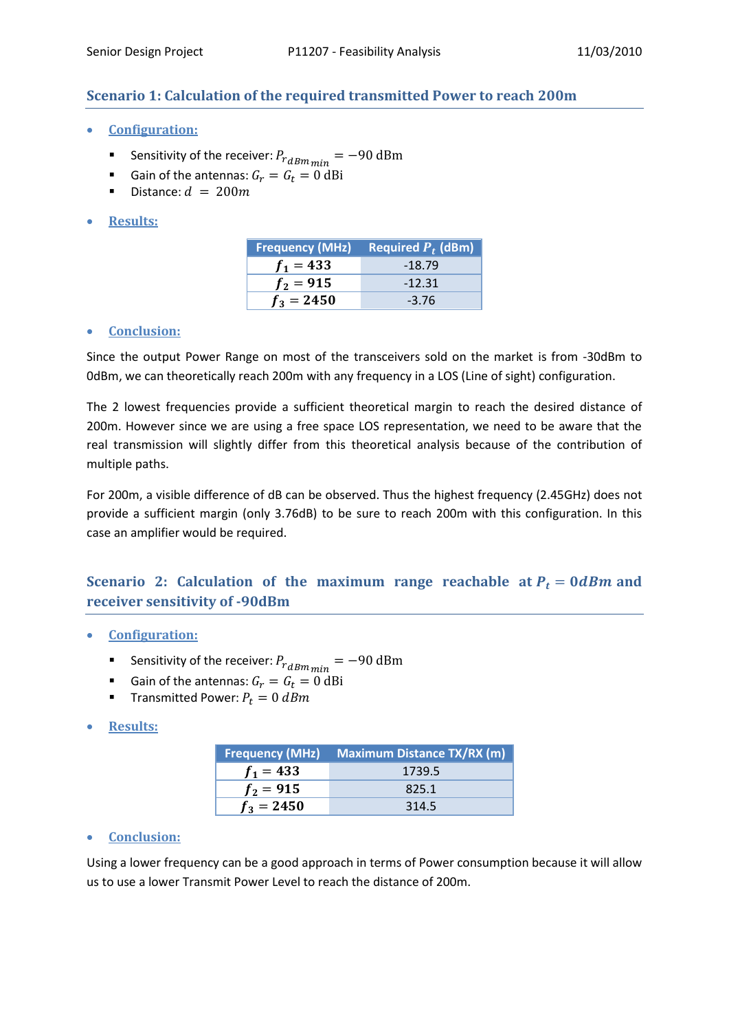## **Scenario 1: Calculation of the required transmitted Power to reach 200m**

- **Configuration:**
	- Sensitivity of the receiver:  $P_{rdBmmin}$  =
	- Gain of the antennas:  $G_r = G_t = 0$  dBi
	- Distance:  $d = 200m$
- **Results:**

| <b>Frequency (MHz)</b> | Required $\boldsymbol{P}_t$ (dBm) |
|------------------------|-----------------------------------|
| $f_1 = 433$            | $-18.79$                          |
| $f_2 = 915$            | $-12.31$                          |
| $f_3 = 2450$           | $-3.76$                           |

#### **Conclusion:**

Since the output Power Range on most of the transceivers sold on the market is from -30dBm to 0dBm, we can theoretically reach 200m with any frequency in a LOS (Line of sight) configuration.

The 2 lowest frequencies provide a sufficient theoretical margin to reach the desired distance of 200m. However since we are using a free space LOS representation, we need to be aware that the real transmission will slightly differ from this theoretical analysis because of the contribution of multiple paths.

For 200m, a visible difference of dB can be observed. Thus the highest frequency (2.45GHz) does not provide a sufficient margin (only 3.76dB) to be sure to reach 200m with this configuration. In this case an amplifier would be required.

## **Scenario 2: Calculation of the maximum range reachable at**  $P_t = 0$  **dBm and receiver sensitivity of -90dBm**

- **Configuration:**
	- Sensitivity of the receiver:  $P_{r,dBm_{min}} =$
	- Gain of the antennas:  $G_r = G_t = 0$  dBi
	- **Transmitted Power:**  $P_t = 0$   $dBm$
- **Results:**

|              | Frequency (MHz) Maximum Distance TX/RX (m) |
|--------------|--------------------------------------------|
| $f_1 = 433$  | 1739.5                                     |
| $f_2 = 915$  | 825.1                                      |
| $f_3 = 2450$ | 314.5                                      |

### **Conclusion:**

Using a lower frequency can be a good approach in terms of Power consumption because it will allow us to use a lower Transmit Power Level to reach the distance of 200m.